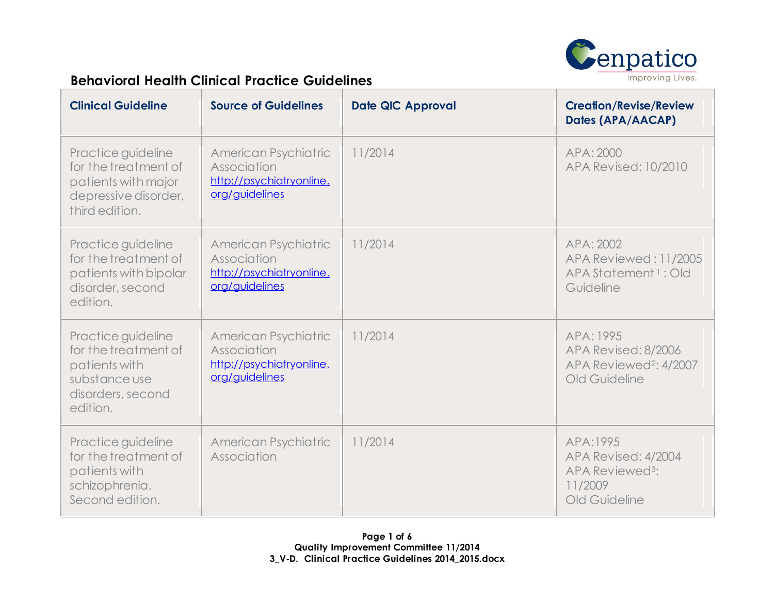

| <b>Clinical Guideline</b>                                                                                     | <b>Source of Guidelines</b>                                                       | <b>Date QIC Approval</b> | <b>Creation/Revise/Review</b><br>Dates (APA/AACAP)                                         |
|---------------------------------------------------------------------------------------------------------------|-----------------------------------------------------------------------------------|--------------------------|--------------------------------------------------------------------------------------------|
| Practice guideline<br>for the treatment of<br>patients with major<br>depressive disorder,<br>third edition.   | American Psychiatric<br>Association<br>http://psychiatryonline.<br>org/guidelines | 11/2014                  | APA: 2000<br><b>APA Revised: 10/2010</b>                                                   |
| Practice guideline<br>for the treatment of<br>patients with bipolar<br>disorder, second<br>edition.           | American Psychiatric<br>Association<br>http://psychiatryonline.<br>org/guidelines | 11/2014                  | APA: 2002<br>APA Reviewed: 11/2005<br>APA Statement 1: Old<br>Guideline                    |
| Practice guideline<br>for the treatment of<br>patients with<br>substance use<br>disorders, second<br>edition. | American Psychiatric<br>Association<br>http://psychiatryonline.<br>org/guidelines | 11/2014                  | APA: 1995<br>APA Revised: 8/2006<br>APA Reviewed <sup>2</sup> : 4/2007<br>Old Guideline    |
| Practice guideline<br>for the treatment of<br>patients with<br>schizophrenia.<br>Second edition.              | American Psychiatric<br>Association                                               | 11/2014                  | APA:1995<br>APA Revised: 4/2004<br>APA Reviewed <sup>3</sup> :<br>11/2009<br>Old Guideline |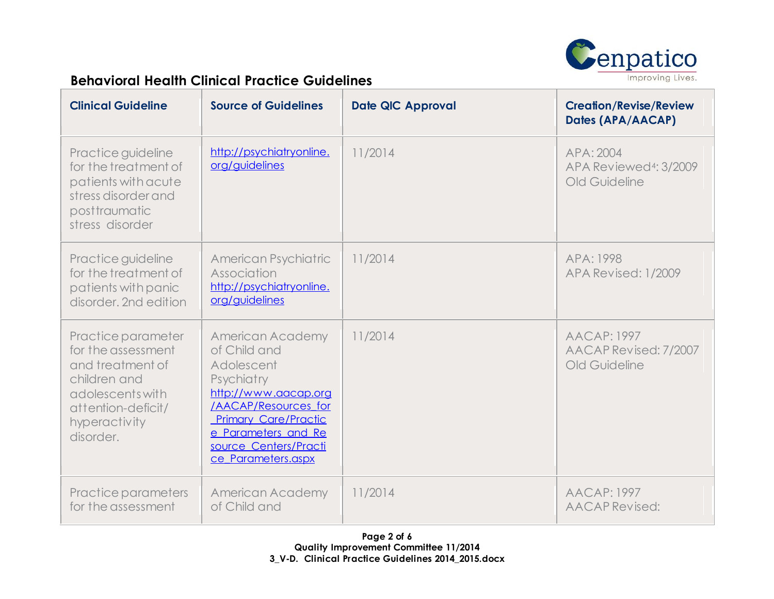

| <b>Clinical Guideline</b>                                                                                                                            | <b>Source of Guidelines</b>                                                                                                                                                                                              | <b>Date QIC Approval</b> | <b>Creation/Revise/Review</b><br>Dates (APA/AACAP)               |
|------------------------------------------------------------------------------------------------------------------------------------------------------|--------------------------------------------------------------------------------------------------------------------------------------------------------------------------------------------------------------------------|--------------------------|------------------------------------------------------------------|
| Practice guideline<br>for the treatment of<br>patients with acute<br>stress disorder and<br>posttraumatic<br>stress disorder                         | http://psychiatryonline.<br>org/guidelines                                                                                                                                                                               | 11/2014                  | APA: 2004<br>APA Reviewed <sup>4</sup> : 3/2009<br>Old Guideline |
| Practice guideline<br>for the treatment of<br>patients with panic<br>disorder. 2nd edition                                                           | American Psychiatric<br>Association<br>http://psychiatryonline.<br>org/quidelines                                                                                                                                        | 11/2014                  | APA: 1998<br>APA Revised: 1/2009                                 |
| Practice parameter<br>for the assessment<br>and treatment of<br>children and<br>adolescents with<br>attention-deficit/<br>hyperactivity<br>disorder. | <b>American Academy</b><br>of Child and<br>Adolescent<br>Psychiatry<br>http://www.aacap.org<br>/AACAP/Resources for<br><b>Primary Care/Practic</b><br>e Parameters and Re<br>source Centers/Practi<br>ce Parameters.aspx | 11/2014                  | <b>AACAP: 1997</b><br>AACAP Revised: 7/2007<br>Old Guideline     |
| Practice parameters<br>for the assessment                                                                                                            | American Academy<br>of Child and                                                                                                                                                                                         | 11/2014                  | <b>AACAP: 1997</b><br>AACAP Revised:                             |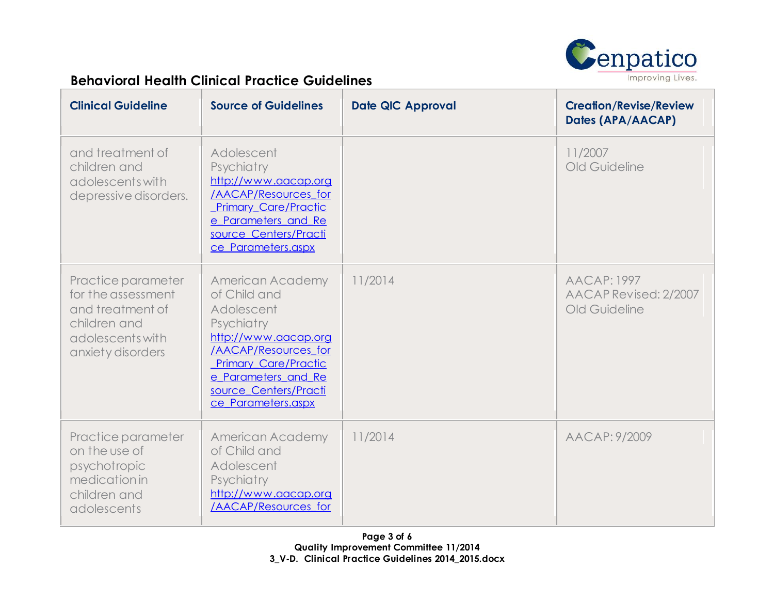

| <b>Clinical Guideline</b>                                                                                             | <b>Source of Guidelines</b>                                                                                                                                                                                       | <b>Date QIC Approval</b> | <b>Creation/Revise/Review</b><br>Dates (APA/AACAP)           |
|-----------------------------------------------------------------------------------------------------------------------|-------------------------------------------------------------------------------------------------------------------------------------------------------------------------------------------------------------------|--------------------------|--------------------------------------------------------------|
| and treatment of<br>children and<br>adolescents with<br>depressive disorders.                                         | Adolescent<br>Psychiatry<br>http://www.aacap.org<br>/AACAP/Resources for<br><b>Primary Care/Practic</b><br>e Parameters and Re<br>source Centers/Practi<br>ce Parameters.aspx                                     |                          | 11/2007<br>Old Guideline                                     |
| Practice parameter<br>for the assessment<br>and treatment of<br>children and<br>adolescents with<br>anxiety disorders | American Academy<br>of Child and<br>Adolescent<br>Psychiatry<br>http://www.aacap.org<br>/AACAP/Resources for<br><b>Primary Care/Practic</b><br>e Parameters and Re<br>source Centers/Practi<br>ce Parameters.aspx | 11/2014                  | <b>AACAP: 1997</b><br>AACAP Revised: 2/2007<br>Old Guideline |
| Practice parameter<br>on the use of<br>psychotropic<br>medication in<br>children and<br>adolescents                   | <b>American Academy</b><br>of Child and<br>Adolescent<br>Psychiatry<br>http://www.aacap.org<br>/AACAP/Resources for                                                                                               | 11/2014                  | AACAP: 9/2009                                                |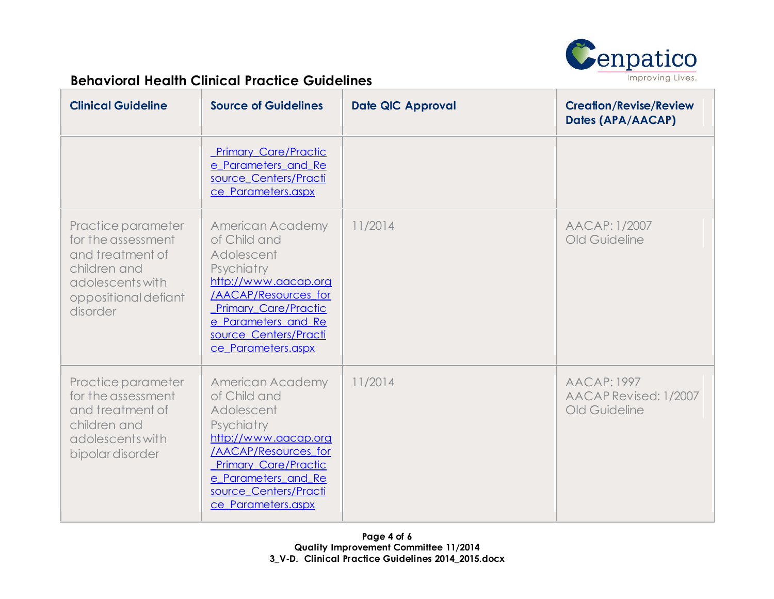

| <b>Clinical Guideline</b>                                                                                                            | <b>Source of Guidelines</b>                                                                                                                                                                                              | <b>Date QIC Approval</b> | <b>Creation/Revise/Review</b><br>Dates (APA/AACAP)           |
|--------------------------------------------------------------------------------------------------------------------------------------|--------------------------------------------------------------------------------------------------------------------------------------------------------------------------------------------------------------------------|--------------------------|--------------------------------------------------------------|
|                                                                                                                                      | <b>Primary Care/Practic</b><br>e Parameters and Re<br>source Centers/Practi<br>ce Parameters.aspx                                                                                                                        |                          |                                                              |
| Practice parameter<br>for the assessment<br>and treatment of<br>children and<br>adolescents with<br>oppositional defiant<br>disorder | <b>American Academy</b><br>of Child and<br>Adolescent<br>Psychiatry<br>http://www.aacap.org<br>/AACAP/Resources for<br><b>Primary Care/Practic</b><br>e Parameters and Re<br>source Centers/Practi<br>ce Parameters.aspx | 11/2014                  | AACAP: 1/2007<br>Old Guideline                               |
| Practice parameter<br>for the assessment<br>and treatment of<br>children and<br>adolescents with<br>bipolar disorder                 | American Academy<br>of Child and<br>Adolescent<br>Psychiatry<br>http://www.aacap.org<br>/AACAP/Resources for<br><b>Primary Care/Practic</b><br>e Parameters and Re<br>source Centers/Practi<br>ce Parameters.aspx        | 11/2014                  | <b>AACAP: 1997</b><br>AACAP Revised: 1/2007<br>Old Guideline |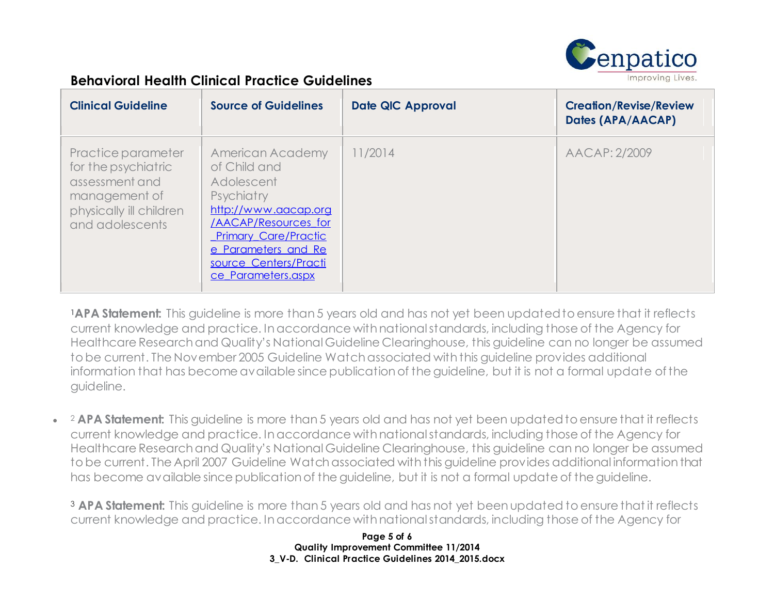

| <b>Clinical Guideline</b>                                                                                                  | <b>Source of Guidelines</b>                                                                                                                                                                                       | <b>Date QIC Approval</b> | <b>Creation/Revise/Review</b><br>Dates (APA/AACAP) |
|----------------------------------------------------------------------------------------------------------------------------|-------------------------------------------------------------------------------------------------------------------------------------------------------------------------------------------------------------------|--------------------------|----------------------------------------------------|
| Practice parameter<br>for the psychiatric<br>assessment and<br>management of<br>physically ill children<br>and adolescents | American Academy<br>of Child and<br>Adolescent<br>Psychiatry<br>http://www.aacap.org<br>/AACAP/Resources for<br><b>Primary Care/Practic</b><br>e Parameters and Re<br>source Centers/Practi<br>ce Parameters.aspx | 1/2014                   | AACAP: 2/2009                                      |

**<sup>1</sup>APA Statement:** This guideline is more than 5 years old and has not yet been updated to ensure that it reflects current knowledge and practice. In accordance with national standards, including those of the Agency for Healthcare Research and Quality's National Guideline Clearinghouse, this guideline can no longer be assumed to be current. The November 2005 Guideline Watch associated with this guideline provides additional information that has become available since publication of the guideline, but it is not a formal update of the guideline.

 $\bullet$ <sup>2</sup> **APA Statement:** This guideline is more than 5 years old and has not yet been updated to ensure that it reflects current knowledge and practice. In accordance with national standards, including those of the Agency for Healthcare Research and Quality's [National Guideline Clearinghouse,](http://www.guideline.gov/) this guideline can no longer be assumed to be current. The April 2007 Guideline Watch associated with this guideline provides additional information that has become available since publication of the guideline, but it is not a formal update of the guideline.

<sup>3</sup> **APA Statement:** This guideline is more than 5 years old and has not yet been updated to ensure that it reflects current knowledge and practice. In accordance with national standards, including those of the Agency for

> **Page 5 of 6 Quality Improvement Committee 11/2014 3\_V-D. Clinical Practice Guidelines 2014\_2015.docx**